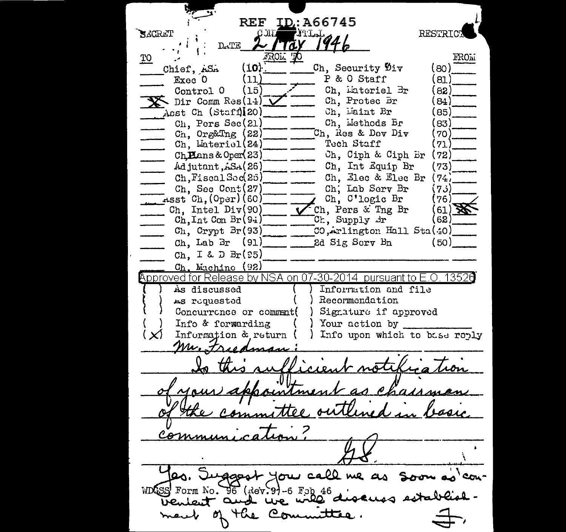REF ID:A66745 **RESTRIC**  $\blacktriangleright$  CCR ET ाम EITT AT  $D_A T E$ 3301. **FROM** TO  $(1.0)$ Ch. Security Div (ഒറ) Chief. ASA P & O Staff Exec 0 (11) 81 Ch. Lateriel Br Control 0 (าธ) 82.  $\sum$  Dir Comm Res(14) Ch. Protec Br 84 Asst Ch (Staff) 20) Ch. Maint Br  $85^{\degree}$ Ch. Methods Br Ch. Pers Sec(21)  $R^2$  $C_n$ , Org&Tng  $(22)$ Ch. Res & Dev Div 70 Ch, Lateriel(24) Tech Staff ר ל Ch. Ciph & Ciph Br  $Ch$ **H**ans & Oper $(23)$  $(72)$ Ch. Int Equip Br Adjutant, ASA(26)  $73$ Ch, Fiscal Sec(25) Ch. Elec & Elec Br  $(74)$ Ch. Sec Cont(27) Ch. Lab Serv Br  $75^{\prime}$  $\frac{1}{\text{m}}$  asst Ch. (Oper) (60) Ch. C'logic Br (76) Ch. Pers & Tng Br Ch. Intel  $Div(90)$ 61)  $Ch, Int Con Br(94)$ Ch, Supply dr  $62$ Ch, Crypt Br(93) CO, Arlington Hall Sta(40)  $Ch.$  Lab  $Br$  (91) 2d Sig Sory Bn (50) Ch. I & D  $Br(95)$  $Ch.$  Muchine  $(92)$ Approved for Release by NSA on 07-30-2014 pursuant to E.O. 13526 As discussed Information and file Recommendation As requested Signature if approved Concurrence or comment Your action by Info & forwarding Information & return Info upon which to base reply  $\mathbf{X}$ Mr. Friedman  $1$ AARAA essait you call me as soon as con-WDGSS Form No. 96 (Rev.9)-6 Feb 46 with discuss establishvenient and Com m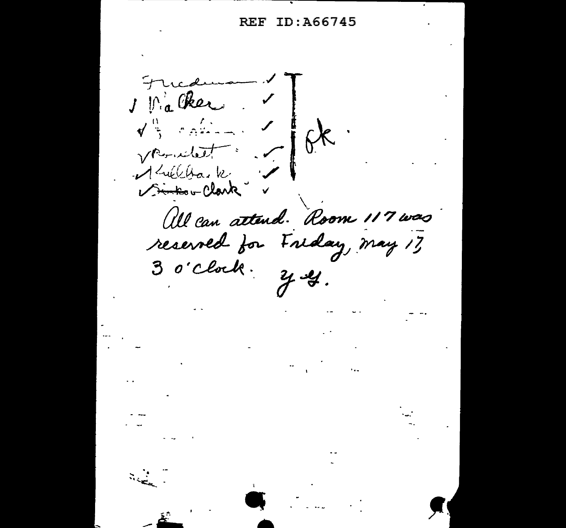## **REF ID: A66745**

Fricann  $\sqrt{\frac{6}{3}}$  comment  $6k$ . Vernelat : All can attend. Room 117 was reserved for Friday, may 17